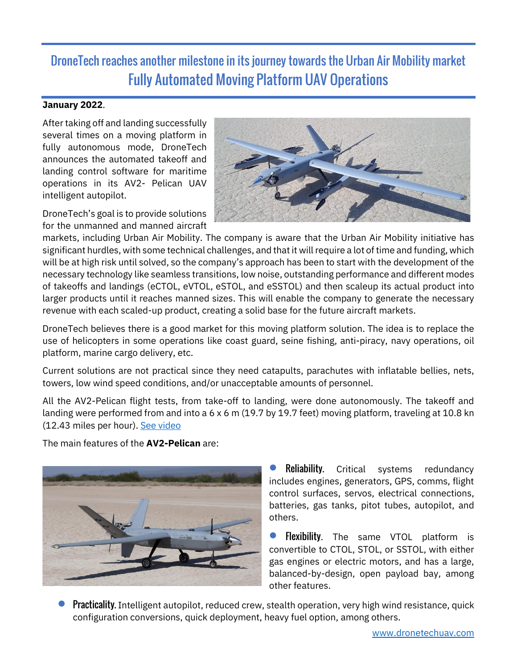## DroneTech reaches another milestone in its journey towards the Urban Air Mobility market Fully Automated Moving Platform UAV Operations

## **January 2022**.

After taking off and landing successfully several times on a moving platform in fully autonomous mode, DroneTech announces the automated takeoff and landing control software for maritime operations in its AV2- Pelican UAV intelligent autopilot.

DroneTech's goal is to provide solutions for the unmanned and manned aircraft



markets, including Urban Air Mobility. The company is aware that the Urban Air Mobility initiative has significant hurdles, with some technical challenges, and that it will require a lot of time and funding, which will be at high risk until solved, so the company's approach has been to start with the development of the necessary technology like seamless transitions, low noise, outstanding performance and different modes of takeoffs and landings (eCTOL, eVTOL, eSTOL, and eSSTOL) and then scaleup its actual product into larger products until it reaches manned sizes. This will enable the company to generate the necessary revenue with each scaled-up product, creating a solid base for the future aircraft markets.

DroneTech believes there is a good market for this moving platform solution. The idea is to replace the use of helicopters in some operations like coast guard, seine fishing, anti-piracy, navy operations, oil platform, marine cargo delivery, etc.

Current solutions are not practical since they need catapults, parachutes with inflatable bellies, nets, towers, low wind speed conditions, and/or unacceptable amounts of personnel.

All the AV2-Pelican flight tests, from take-off to landing, were done autonomously. The takeoff and landing were performed from and into a 6 x 6 m (19.7 by 19.7 feet) moving platform, traveling at 10.8 kn (12.43 miles per hour). [See video](https://youtu.be/-hjBLIlky_Y)

The main features of the **AV2-Pelican** are:



**Reliability.** Critical systems redundancy includes engines, generators, GPS, comms, flight control surfaces, servos, electrical connections, batteries, gas tanks, pitot tubes, autopilot, and others.

• Flexibility. The same VTOL platform is convertible to CTOL, STOL, or SSTOL, with either gas engines or electric motors, and has a large, balanced-by-design, open payload bay, among other features.

• Practicality. Intelligent autopilot, reduced crew, stealth operation, very high wind resistance, quick configuration conversions, quick deployment, heavy fuel option, among others.